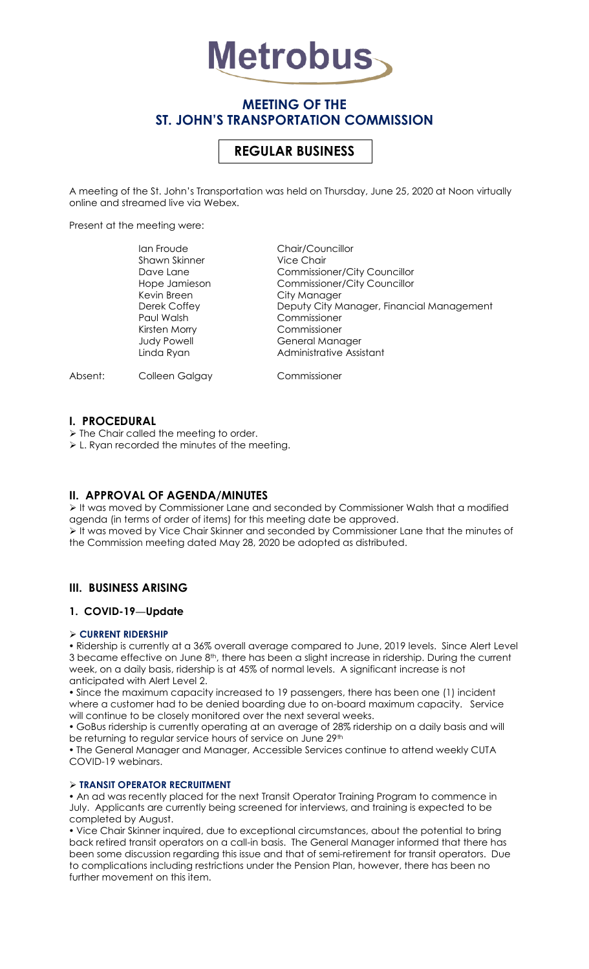

# **MEETING OF THE ST. JOHN'S TRANSPORTATION COMMISSION**

# **REGULAR BUSINESS**

A meeting of the St. John's Transportation was held on Thursday, June 25, 2020 at Noon virtually online and streamed live via Webex.

Present at the meeting were:

| lan Froude           | Chair/Councillor                          |
|----------------------|-------------------------------------------|
| <b>Shawn Skinner</b> | <b>Vice Chair</b>                         |
| Dave Lane            | <b>Commissioner/City Councillor</b>       |
| Hope Jamieson        | <b>Commissioner/City Councillor</b>       |
| Kevin Breen          | City Manager                              |
| Derek Coffey         | Deputy City Manager, Financial Management |
| Paul Walsh           | Commissioner                              |
| Kirsten Morry        | Commissioner                              |
| Judy Powell          | General Manager                           |
| Linda Ryan           | Administrative Assistant                  |
|                      |                                           |
|                      |                                           |

Absent: Colleen Galgay Commissioner

# **I. PROCEDURAL**

> The Chair called the meeting to order.

L. Ryan recorded the minutes of the meeting.

# **II. APPROVAL OF AGENDA/MINUTES**

It was moved by Commissioner Lane and seconded by Commissioner Walsh that a modified agenda (in terms of order of items) for this meeting date be approved. It was moved by Vice Chair Skinner and seconded by Commissioner Lane that the minutes of the Commission meeting dated May 28, 2020 be adopted as distributed.

# **III. BUSINESS ARISING**

# **1. COVID-19—Update**

# **CURRENT RIDERSHIP**

 Ridership is currently at a 36% overall average compared to June, 2019 levels. Since Alert Level 3 became effective on June  $8<sup>th</sup>$ , there has been a slight increase in ridership. During the current week, on a daily basis, ridership is at 45% of normal levels. A significant increase is not anticipated with Alert Level 2.

 Since the maximum capacity increased to 19 passengers, there has been one (1) incident where a customer had to be denied boarding due to on-board maximum capacity. Service will continue to be closely monitored over the next several weeks.

 GoBus ridership is currently operating at an average of 28% ridership on a daily basis and will be returning to regular service hours of service on June 29th

 The General Manager and Manager, Accessible Services continue to attend weekly CUTA COVID-19 webinars.

# **TRANSIT OPERATOR RECRUITMENT**

 An ad was recently placed for the next Transit Operator Training Program to commence in July. Applicants are currently being screened for interviews, and training is expected to be completed by August.

 Vice Chair Skinner inquired, due to exceptional circumstances, about the potential to bring back retired transit operators on a call-in basis. The General Manager informed that there has been some discussion regarding this issue and that of semi-retirement for transit operators. Due to complications including restrictions under the Pension Plan, however, there has been no further movement on this item.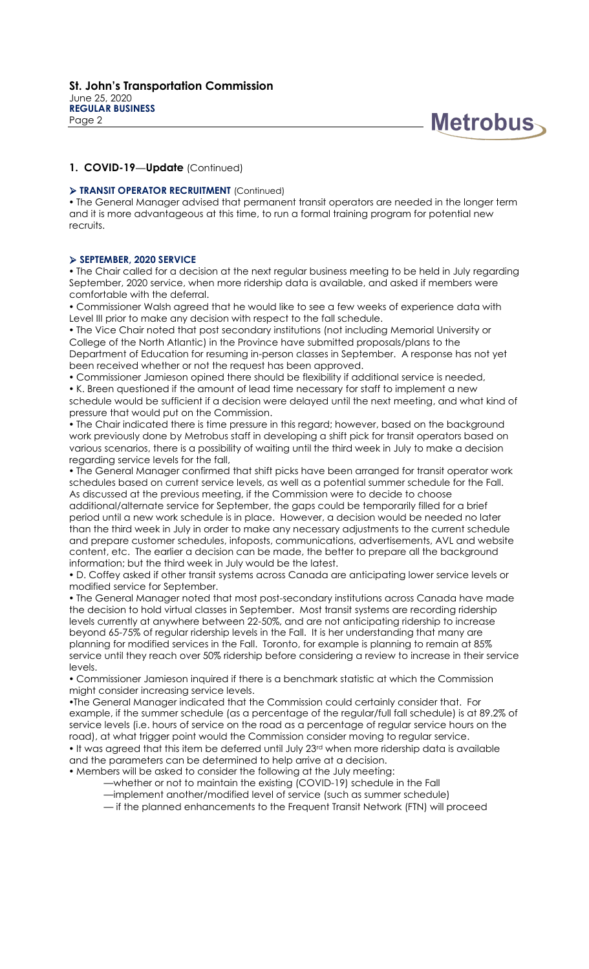

# **1. COVID-19—Update** (Continued)

#### **TRANSIT OPERATOR RECRUITMENT** (Continued)

 The General Manager advised that permanent transit operators are needed in the longer term and it is more advantageous at this time, to run a formal training program for potential new recruits.

#### **SEPTEMBER, 2020 SERVICE**

 The Chair called for a decision at the next regular business meeting to be held in July regarding September, 2020 service, when more ridership data is available, and asked if members were comfortable with the deferral.

 Commissioner Walsh agreed that he would like to see a few weeks of experience data with Level III prior to make any decision with respect to the fall schedule.

 The Vice Chair noted that post secondary institutions (not including Memorial University or College of the North Atlantic) in the Province have submitted proposals/plans to the Department of Education for resuming in-person classes in September. A response has not yet been received whether or not the request has been approved.

 Commissioner Jamieson opined there should be flexibility if additional service is needed, K. Breen questioned if the amount of lead time necessary for staff to implement a new schedule would be sufficient if a decision were delayed until the next meeting, and what kind of pressure that would put on the Commission.

 The Chair indicated there is time pressure in this regard; however, based on the background work previously done by Metrobus staff in developing a shift pick for transit operators based on various scenarios, there is a possibility of waiting until the third week in July to make a decision regarding service levels for the fall,

 The General Manager confirmed that shift picks have been arranged for transit operator work schedules based on current service levels, as well as a potential summer schedule for the Fall. As discussed at the previous meeting, if the Commission were to decide to choose

additional/alternate service for September, the gaps could be temporarily filled for a brief period until a new work schedule is in place. However, a decision would be needed no later than the third week in July in order to make any necessary adjustments to the current schedule and prepare customer schedules, infoposts, communications, advertisements, AVL and website content, etc. The earlier a decision can be made, the better to prepare all the background information; but the third week in July would be the latest.

 D. Coffey asked if other transit systems across Canada are anticipating lower service levels or modified service for September.

 The General Manager noted that most post-secondary institutions across Canada have made the decision to hold virtual classes in September. Most transit systems are recording ridership levels currently at anywhere between 22-50%, and are not anticipating ridership to increase beyond 65-75% of regular ridership levels in the Fall. It is her understanding that many are planning for modified services in the Fall. Toronto, for example is planning to remain at 85% service until they reach over 50% ridership before considering a review to increase in their service levels.

 Commissioner Jamieson inquired if there is a benchmark statistic at which the Commission might consider increasing service levels.

The General Manager indicated that the Commission could certainly consider that. For example, if the summer schedule (as a percentage of the regular/full fall schedule) is at 89.2% of service levels (i.e. hours of service on the road as a percentage of regular service hours on the road), at what trigger point would the Commission consider moving to regular service. • It was agreed that this item be deferred until July 23<sup>rd</sup> when more ridership data is available and the parameters can be determined to help arrive at a decision.

Members will be asked to consider the following at the July meeting:

—whether or not to maintain the existing (COVID-19) schedule in the Fall

—implement another/modified level of service (such as summer schedule)

— if the planned enhancements to the Frequent Transit Network (FTN) will proceed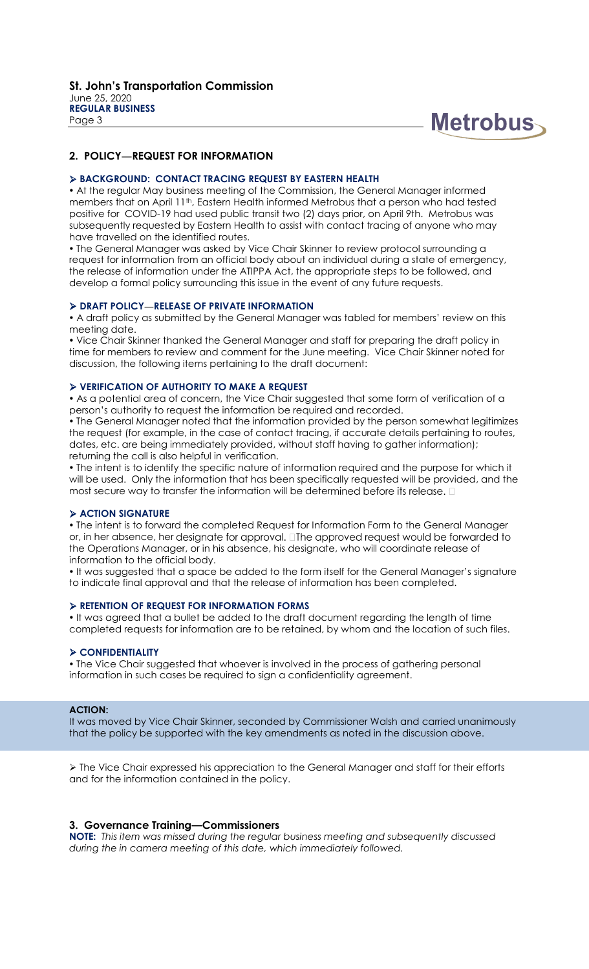

# **2. POLICY—REQUEST FOR INFORMATION**

#### **BACKGROUND: CONTACT TRACING REQUEST BY EASTERN HEALTH**

 At the regular May business meeting of the Commission, the General Manager informed members that on April 11th, Eastern Health informed Metrobus that a person who had tested positive for COVID-19 had used public transit two (2) days prior, on April 9th. Metrobus was subsequently requested by Eastern Health to assist with contact tracing of anyone who may have travelled on the identified routes.

 The General Manager was asked by Vice Chair Skinner to review protocol surrounding a request for information from an official body about an individual during a state of emergency, the release of information under the ATIPPA Act, the appropriate steps to be followed, and develop a formal policy surrounding this issue in the event of any future requests.

#### **DRAFT POLICY—RELEASE OF PRIVATE INFORMATION**

 A draft policy as submitted by the General Manager was tabled for members' review on this meeting date.

 Vice Chair Skinner thanked the General Manager and staff for preparing the draft policy in time for members to review and comment for the June meeting. Vice Chair Skinner noted for discussion, the following items pertaining to the draft document:

#### **VERIFICATION OF AUTHORITY TO MAKE A REQUEST**

 As a potential area of concern, the Vice Chair suggested that some form of verification of a person's authority to request the information be required and recorded.

 The General Manager noted that the information provided by the person somewhat legitimizes the request (for example, in the case of contact tracing, if accurate details pertaining to routes, dates, etc. are being immediately provided, without staff having to gather information); returning the call is also helpful in verification.

 The intent is to identify the specific nature of information required and the purpose for which it will be used. Only the information that has been specifically requested will be provided, and the most secure way to transfer the information will be determined before its release.  $\square$ 

#### **ACTION SIGNATURE**

 The intent is to forward the completed Request for Information Form to the General Manager or, in her absence, her designate for approval. Ine approved request would be forwarded to the Operations Manager, or in his absence, his designate, who will coordinate release of information to the official body.

 It was suggested that a space be added to the form itself for the General Manager's signature to indicate final approval and that the release of information has been completed.

#### **RETENTION OF REQUEST FOR INFORMATION FORMS**

. It was agreed that a bullet be added to the draft document regarding the length of time completed requests for information are to be retained, by whom and the location of such files.

#### **CONFIDENTIALITY**

 The Vice Chair suggested that whoever is involved in the process of gathering personal information in such cases be required to sign a confidentiality agreement.

#### **ACTION:**

It was moved by Vice Chair Skinner, seconded by Commissioner Walsh and carried unanimously that the policy be supported with the key amendments as noted in the discussion above.

 The Vice Chair expressed his appreciation to the General Manager and staff for their efforts and for the information contained in the policy.

# **3. Governance Training—Commissioners**

**NOTE:** *This item was missed during the regular business meeting and subsequently discussed during the in camera meeting of this date, which immediately followed.*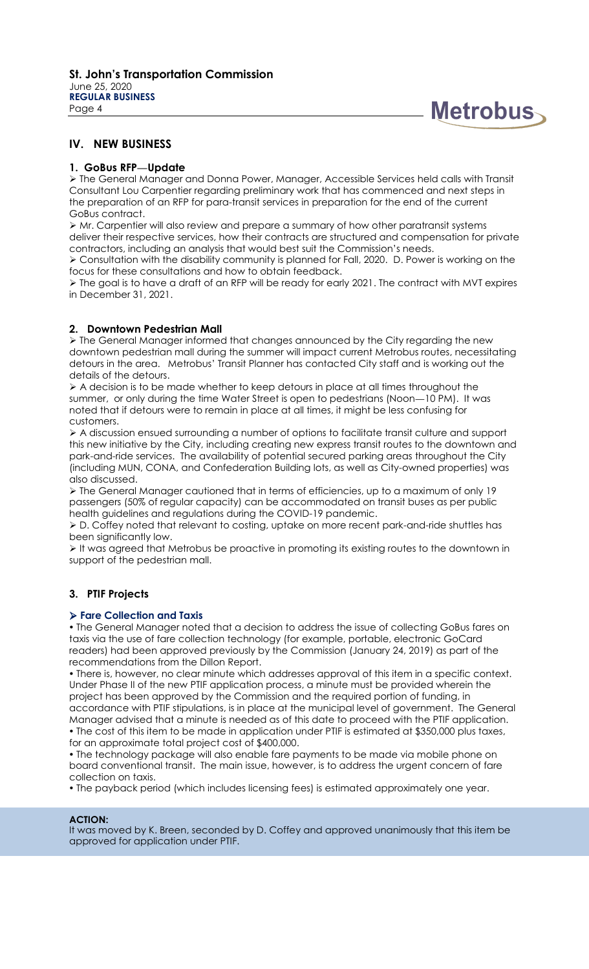

# **IV. NEW BUSINESS**

# **1. GoBus RFP—Update**

 The General Manager and Donna Power, Manager, Accessible Services held calls with Transit Consultant Lou Carpentier regarding preliminary work that has commenced and next steps in the preparation of an RFP for para-transit services in preparation for the end of the current GoBus contract.

 $\triangleright$  Mr. Carpentier will also review and prepare a summary of how other paratransit systems deliver their respective services, how their contracts are structured and compensation for private contractors, including an analysis that would best suit the Commission's needs.

 Consultation with the disability community is planned for Fall, 2020. D. Power is working on the focus for these consultations and how to obtain feedback.

 $\triangleright$  The goal is to have a draft of an RFP will be ready for early 2021. The contract with MVT expires in December 31, 2021.

# **2. Downtown Pedestrian Mall**

 The General Manager informed that changes announced by the City regarding the new downtown pedestrian mall during the summer will impact current Metrobus routes, necessitating detours in the area. Metrobus' Transit Planner has contacted City staff and is working out the details of the detours.

 A decision is to be made whether to keep detours in place at all times throughout the summer, or only during the time Water Street is open to pedestrians (Noon—10 PM). It was noted that if detours were to remain in place at all times, it might be less confusing for customers.

 A discussion ensued surrounding a number of options to facilitate transit culture and support this new initiative by the City, including creating new express transit routes to the downtown and park-and-ride services. The availability of potential secured parking areas throughout the City (including MUN, CONA, and Confederation Building lots, as well as City-owned properties) was also discussed.

 $\triangleright$  The General Manager cautioned that in terms of efficiencies, up to a maximum of only 19 passengers (50% of regular capacity) can be accommodated on transit buses as per public health guidelines and regulations during the COVID-19 pandemic.

 D. Coffey noted that relevant to costing, uptake on more recent park-and-ride shuttles has been significantly low.

It was agreed that Metrobus be proactive in promoting its existing routes to the downtown in support of the pedestrian mall.

# **3. PTIF Projects**

# **Fare Collection and Taxis**

 The General Manager noted that a decision to address the issue of collecting GoBus fares on taxis via the use of fare collection technology (for example, portable, electronic GoCard readers) had been approved previously by the Commission (January 24, 2019) as part of the recommendations from the Dillon Report.

 There is, however, no clear minute which addresses approval of this item in a specific context. Under Phase II of the new PTIF application process, a minute must be provided wherein the project has been approved by the Commission and the required portion of funding, in accordance with PTIF stipulations, is in place at the municipal level of government. The General Manager advised that a minute is needed as of this date to proceed with the PTIF application. • The cost of this item to be made in application under PTIF is estimated at \$350,000 plus taxes,

for an approximate total project cost of \$400,000.

• The technology package will also enable fare payments to be made via mobile phone on board conventional transit. The main issue, however, is to address the urgent concern of fare collection on taxis.

The payback period (which includes licensing fees) is estimated approximately one year.

# **ACTION:**

It was moved by K. Breen, seconded by D. Coffey and approved unanimously that this item be approved for application under PTIF.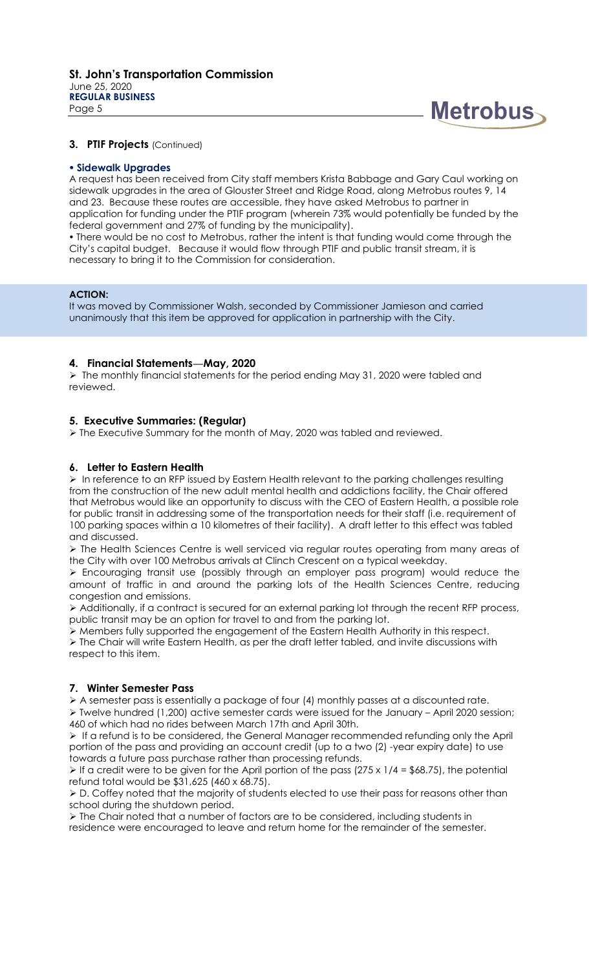

# **3. PTIF Projects** (Continued)

#### **Sidewalk Upgrades**

A request has been received from City staff members Krista Babbage and Gary Caul working on sidewalk upgrades in the area of Glouster Street and Ridge Road, along Metrobus routes 9, 14 and 23. Because these routes are accessible, they have asked Metrobus to partner in application for funding under the PTIF program (wherein 73% would potentially be funded by the federal government and 27% of funding by the municipality).

 There would be no cost to Metrobus, rather the intent is that funding would come through the City's capital budget. Because it would flow through PTIF and public transit stream, it is necessary to bring it to the Commission for consideration.

#### **ACTION:**

It was moved by Commissioner Walsh, seconded by Commissioner Jamieson and carried unanimously that this item be approved for application in partnership with the City.

# **4. Financial Statements—May, 2020**

 $\triangleright$  The monthly financial statements for the period ending May 31, 2020 were tabled and reviewed.

# **5. Executive Summaries: (Regular)**

The Executive Summary for the month of May, 2020 was tabled and reviewed.

# **6. Letter to Eastern Health**

 In reference to an RFP issued by Eastern Health relevant to the parking challenges resulting from the construction of the new adult mental health and addictions facility, the Chair offered that Metrobus would like an opportunity to discuss with the CEO of Eastern Health, a possible role for public transit in addressing some of the transportation needs for their staff (i.e. requirement of 100 parking spaces within a 10 kilometres of their facility). A draft letter to this effect was tabled and discussed.

 The Health Sciences Centre is well serviced via regular routes operating from many areas of the City with over 100 Metrobus arrivals at Clinch Crescent on a typical weekday.

 Encouraging transit use (possibly through an employer pass program) would reduce the amount of traffic in and around the parking lots of the Health Sciences Centre, reducing congestion and emissions.

 Additionally, if a contract is secured for an external parking lot through the recent RFP process, public transit may be an option for travel to and from the parking lot.

Members fully supported the engagement of the Eastern Health Authority in this respect.

 The Chair will write Eastern Health, as per the draft letter tabled, and invite discussions with respect to this item.

# **7. Winter Semester Pass**

 $\triangleright$  A semester pass is essentially a package of four (4) monthly passes at a discounted rate.

 $\triangleright$  Twelve hundred (1,200) active semester cards were issued for the January – April 2020 session; 460 of which had no rides between March 17th and April 30th.

 If a refund is to be considered, the General Manager recommended refunding only the April portion of the pass and providing an account credit (up to a two (2) -year expiry date) to use towards a future pass purchase rather than processing refunds.

If a credit were to be given for the April portion of the pass  $(275 \times 1/4 = $68.75)$ , the potential refund total would be \$31,625 (460 x 68.75).

 $\triangleright$  D. Coffey noted that the majority of students elected to use their pass for reasons other than school during the shutdown period.

 $\triangleright$  The Chair noted that a number of factors are to be considered, including students in residence were encouraged to leave and return home for the remainder of the semester.